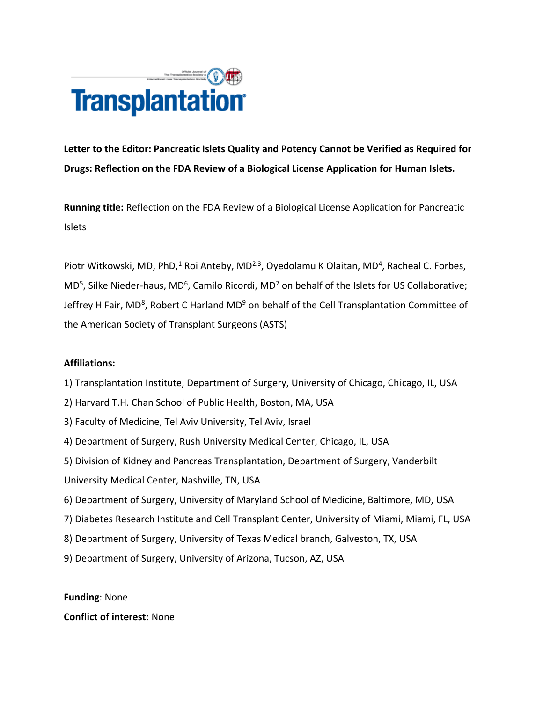

**Letter to the Editor: Pancreatic Islets Quality and Potency Cannot be Verified as Required for Drugs: Reflection on the FDA Review of a Biological License Application for Human Islets.**

**Running title:** Reflection on the FDA Review of a Biological License Application for Pancreatic Islets

Piotr Witkowski, MD, PhD,<sup>1</sup> Roi Anteby, MD<sup>2.3</sup>, Oyedolamu K Olaitan, MD<sup>4</sup>, Racheal C. Forbes,  $MD<sup>5</sup>$ , Silke Nieder-haus, MD<sup>6</sup>, Camilo Ricordi, MD<sup>7</sup> on behalf of the Islets for US Collaborative; Jeffrey H Fair, MD<sup>8</sup>, Robert C Harland MD<sup>9</sup> on behalf of the Cell Transplantation Committee of the American Society of Transplant Surgeons (ASTS)

## **Affiliations:**

1) Transplantation Institute, Department of Surgery, University of Chicago, Chicago, IL, USA

- 2) Harvard T.H. Chan School of Public Health, Boston, MA, USA
- 3) Faculty of Medicine, Tel Aviv University, Tel Aviv, Israel
- 4) Department of Surgery, Rush University Medical Center, Chicago, IL, USA
- 5) Division of Kidney and Pancreas Transplantation, Department of Surgery, Vanderbilt
- University Medical Center, Nashville, TN, USA
- 6) Department of Surgery, University of Maryland School of Medicine, Baltimore, MD, USA
- 7) Diabetes Research Institute and Cell Transplant Center, University of Miami, Miami, FL, USA
- 8) Department of Surgery, University of Texas Medical branch, Galveston, TX, USA
- 9) Department of Surgery, University of Arizona, Tucson, AZ, USA

**Funding**: None **Conflict of interest**: None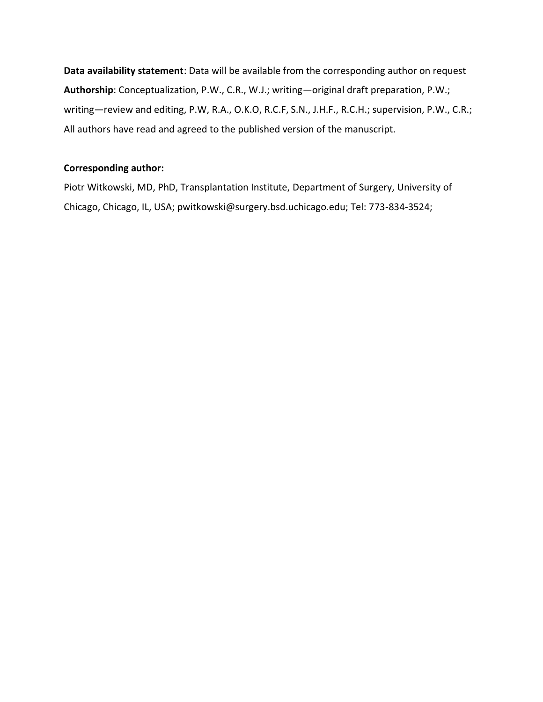**Data availability statement**: Data will be available from the corresponding author on request **Authorship**: Conceptualization, P.W., C.R., W.J.; writing—original draft preparation, P.W.; writing—review and editing, P.W, R.A., O.K.O, R.C.F, S.N., J.H.F., R.C.H.; supervision, P.W., C.R.; All authors have read and agreed to the published version of the manuscript.

## **Corresponding author:**

Piotr Witkowski, MD, PhD, Transplantation Institute, Department of Surgery, University of Chicago, Chicago, IL, USA; pwitkowski@surgery.bsd.uchicago.edu; Tel: 773-834-3524;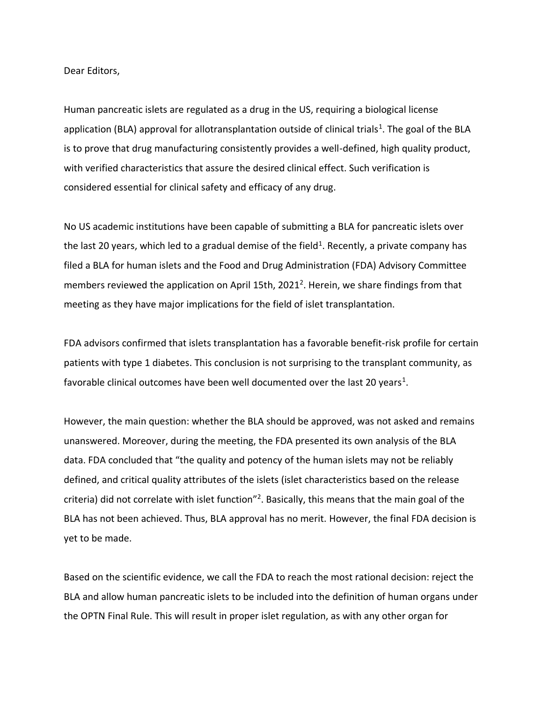Dear Editors,

Human pancreatic islets are regulated as a drug in the US, requiring a biological license application (BLA) approval for allotransplantation outside of clinical trials<sup>1</sup>. The goal of the BLA is to prove that drug manufacturing consistently provides a well-defined, high quality product, with verified characteristics that assure the desired clinical effect. Such verification is considered essential for clinical safety and efficacy of any drug.

No US academic institutions have been capable of submitting a BLA for pancreatic islets over the last 20 years, which led to a gradual demise of the field<sup>1</sup>. Recently, a private company has filed a BLA for human islets and the Food and Drug Administration (FDA) Advisory Committee members reviewed the application on April 15th, 2021<sup>2</sup>. Herein, we share findings from that meeting as they have major implications for the field of islet transplantation.

FDA advisors confirmed that islets transplantation has a favorable benefit-risk profile for certain patients with type 1 diabetes. This conclusion is not surprising to the transplant community, as favorable clinical outcomes have been well documented over the last 20 years<sup>1</sup>.

However, the main question: whether the BLA should be approved, was not asked and remains unanswered. Moreover, during the meeting, the FDA presented its own analysis of the BLA data. FDA concluded that "the quality and potency of the human islets may not be reliably defined, and critical quality attributes of the islets (islet characteristics based on the release criteria) did not correlate with islet function"<sup>2</sup>. Basically, this means that the main goal of the BLA has not been achieved. Thus, BLA approval has no merit. However, the final FDA decision is yet to be made.

Based on the scientific evidence, we call the FDA to reach the most rational decision: reject the BLA and allow human pancreatic islets to be included into the definition of human organs under the OPTN Final Rule. This will result in proper islet regulation, as with any other organ for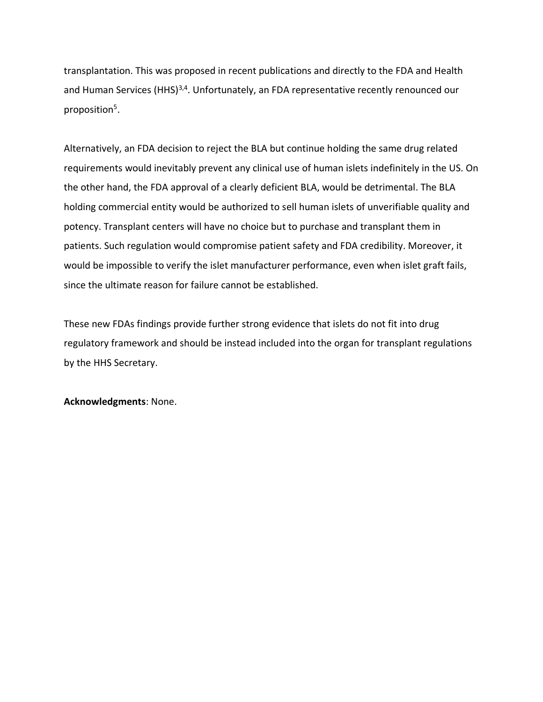transplantation. This was proposed in recent publications and directly to the FDA and Health and Human Services (HHS)<sup>3,4</sup>. Unfortunately, an FDA representative recently renounced our proposition<sup>5</sup>.

Alternatively, an FDA decision to reject the BLA but continue holding the same drug related requirements would inevitably prevent any clinical use of human islets indefinitely in the US. On the other hand, the FDA approval of a clearly deficient BLA, would be detrimental. The BLA holding commercial entity would be authorized to sell human islets of unverifiable quality and potency. Transplant centers will have no choice but to purchase and transplant them in patients. Such regulation would compromise patient safety and FDA credibility. Moreover, it would be impossible to verify the islet manufacturer performance, even when islet graft fails, since the ultimate reason for failure cannot be established.

These new FDAs findings provide further strong evidence that islets do not fit into drug regulatory framework and should be instead included into the organ for transplant regulations by the HHS Secretary.

**Acknowledgments**: None.